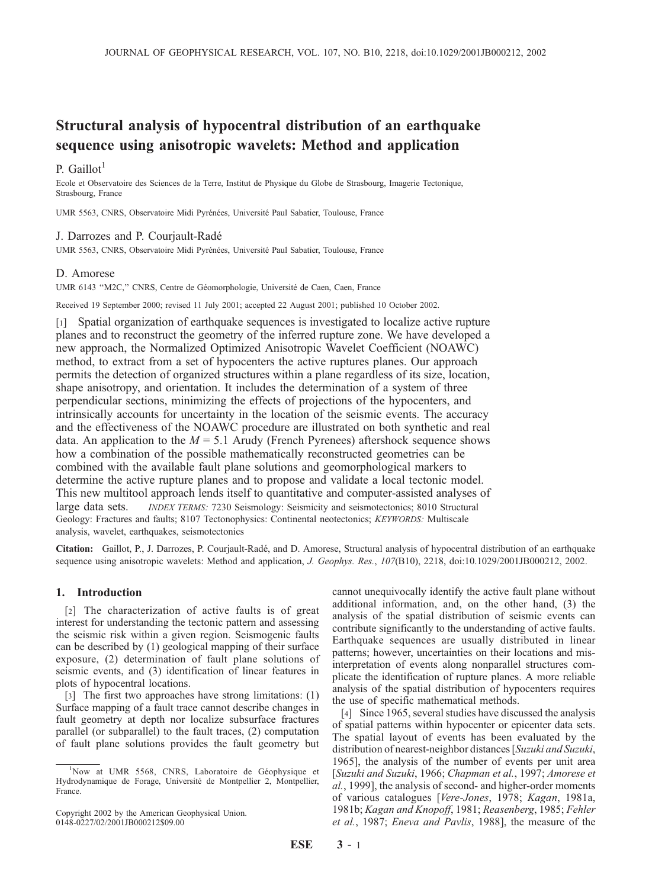# Structural analysis of hypocentral distribution of an earthquake sequence using anisotropic wavelets: Method and application

#### P. Gaillot<sup>1</sup>

Ecole et Observatoire des Sciences de la Terre, Institut de Physique du Globe de Strasbourg, Imagerie Tectonique, Strasbourg, France

UMR 5563, CNRS, Observatoire Midi Pyrénées, Université Paul Sabatier, Toulouse, France

#### J. Darrozes and P. Courjault-Rade´

UMR 5563, CNRS, Observatoire Midi Pyrénées, Université Paul Sabatier, Toulouse, France

#### D. Amorese

UMR 6143 "M2C," CNRS, Centre de Géomorphologie, Université de Caen, Caen, France

Received 19 September 2000; revised 11 July 2001; accepted 22 August 2001; published 10 October 2002.

[1] Spatial organization of earthquake sequences is investigated to localize active rupture planes and to reconstruct the geometry of the inferred rupture zone. We have developed a new approach, the Normalized Optimized Anisotropic Wavelet Coefficient (NOAWC) method, to extract from a set of hypocenters the active ruptures planes. Our approach permits the detection of organized structures within a plane regardless of its size, location, shape anisotropy, and orientation. It includes the determination of a system of three perpendicular sections, minimizing the effects of projections of the hypocenters, and intrinsically accounts for uncertainty in the location of the seismic events. The accuracy and the effectiveness of the NOAWC procedure are illustrated on both synthetic and real data. An application to the  $M = 5.1$  Arudy (French Pyrenees) aftershock sequence shows how a combination of the possible mathematically reconstructed geometries can be combined with the available fault plane solutions and geomorphological markers to determine the active rupture planes and to propose and validate a local tectonic model. This new multitool approach lends itself to quantitative and computer-assisted analyses of large data sets. INDEX TERMS: 7230 Seismology: Seismicity and seismotectonics; 8010 Structural Geology: Fractures and faults; 8107 Tectonophysics: Continental neotectonics; KEYWORDS: Multiscale analysis, wavelet, earthquakes, seismotectonics

Citation: Gaillot, P., J. Darrozes, P. Courjault-Rade´, and D. Amorese, Structural analysis of hypocentral distribution of an earthquake sequence using anisotropic wavelets: Method and application, J. Geophys. Res., 107(B10), 2218, doi:10.1029/2001JB000212, 2002.

#### 1. Introduction

[2] The characterization of active faults is of great interest for understanding the tectonic pattern and assessing the seismic risk within a given region. Seismogenic faults can be described by (1) geological mapping of their surface exposure, (2) determination of fault plane solutions of seismic events, and (3) identification of linear features in plots of hypocentral locations.

[3] The first two approaches have strong limitations: (1) Surface mapping of a fault trace cannot describe changes in fault geometry at depth nor localize subsurface fractures parallel (or subparallel) to the fault traces, (2) computation of fault plane solutions provides the fault geometry but

Copyright 2002 by the American Geophysical Union. 0148-0227/02/2001JB000212\$09.00

cannot unequivocally identify the active fault plane without additional information, and, on the other hand, (3) the analysis of the spatial distribution of seismic events can contribute significantly to the understanding of active faults. Earthquake sequences are usually distributed in linear patterns; however, uncertainties on their locations and misinterpretation of events along nonparallel structures complicate the identification of rupture planes. A more reliable analysis of the spatial distribution of hypocenters requires the use of specific mathematical methods.

[4] Since 1965, several studies have discussed the analysis of spatial patterns within hypocenter or epicenter data sets. The spatial layout of events has been evaluated by the distribution of nearest-neighbor distances [Suzuki and Suzuki, 1965], the analysis of the number of events per unit area [Suzuki and Suzuki, 1966; Chapman et al., 1997; Amorese et al., 1999], the analysis of second- and higher-order moments of various catalogues [Vere-Jones, 1978; Kagan, 1981a, 1981b; Kagan and Knopoff, 1981; Reasenberg, 1985; Fehler et al., 1987; Eneva and Pavlis, 1988], the measure of the

<sup>&</sup>lt;sup>1</sup>Now at UMR 5568, CNRS, Laboratoire de Géophysique et Hydrodynamique de Forage, Université de Montpellier 2, Montpellier, France.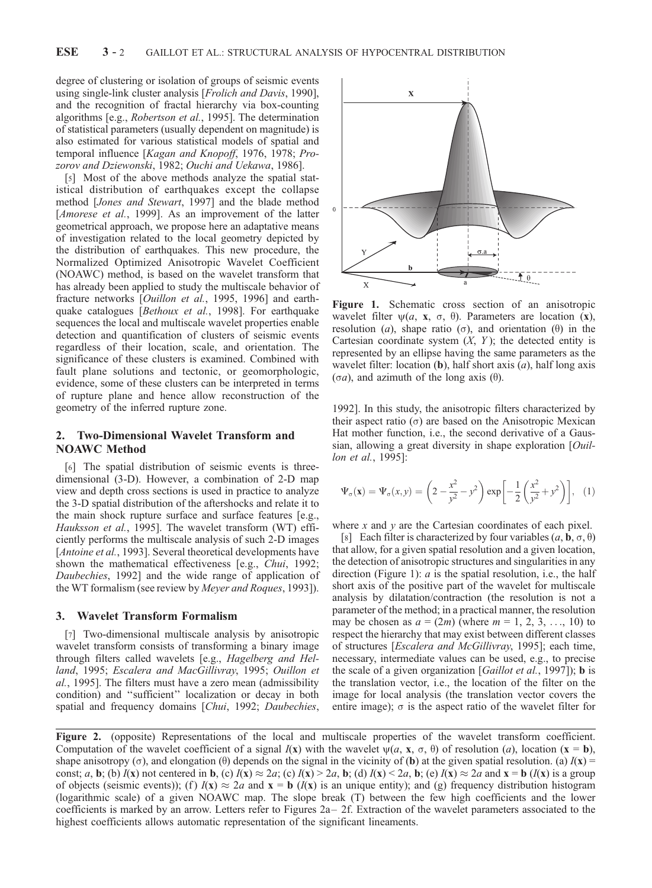degree of clustering or isolation of groups of seismic events using single-link cluster analysis [Frolich and Davis, 1990], and the recognition of fractal hierarchy via box-counting algorithms [e.g., Robertson et al., 1995]. The determination of statistical parameters (usually dependent on magnitude) is also estimated for various statistical models of spatial and temporal influence [Kagan and Knopoff, 1976, 1978; Prozorov and Dziewonski, 1982; Ouchi and Uekawa, 1986].

[5] Most of the above methods analyze the spatial statistical distribution of earthquakes except the collapse method [Jones and Stewart, 1997] and the blade method [Amorese et al., 1999]. As an improvement of the latter geometrical approach, we propose here an adaptative means of investigation related to the local geometry depicted by the distribution of earthquakes. This new procedure, the Normalized Optimized Anisotropic Wavelet Coefficient (NOAWC) method, is based on the wavelet transform that has already been applied to study the multiscale behavior of fracture networks [*Ouillon et al.*, 1995, 1996] and earthquake catalogues [Bethoux et al., 1998]. For earthquake sequences the local and multiscale wavelet properties enable detection and quantification of clusters of seismic events regardless of their location, scale, and orientation. The significance of these clusters is examined. Combined with fault plane solutions and tectonic, or geomorphologic, evidence, some of these clusters can be interpreted in terms of rupture plane and hence allow reconstruction of the geometry of the inferred rupture zone.

## 2. Two-Dimensional Wavelet Transform and NOAWC Method

[6] The spatial distribution of seismic events is threedimensional (3-D). However, a combination of 2-D map view and depth cross sections is used in practice to analyze the 3-D spatial distribution of the aftershocks and relate it to the main shock rupture surface and surface features [e.g., Hauksson et al., 1995]. The wavelet transform (WT) efficiently performs the multiscale analysis of such 2-D images [Antoine et al., 1993]. Several theoretical developments have shown the mathematical effectiveness [e.g., Chui, 1992; Daubechies, 1992] and the wide range of application of the WT formalism (see review by Meyer and Roques, 1993]).

#### 3. Wavelet Transform Formalism

[7] Two-dimensional multiscale analysis by anisotropic wavelet transform consists of transforming a binary image through filters called wavelets [e.g., Hagelberg and Helland, 1995; Escalera and MacGillivray, 1995; Ouillon et al., 1995]. The filters must have a zero mean (admissibility condition) and ''sufficient'' localization or decay in both spatial and frequency domains [Chui, 1992; Daubechies,



Figure 1. Schematic cross section of an anisotropic wavelet filter  $\psi(a, x, \sigma, \theta)$ . Parameters are location  $(x)$ , resolution (a), shape ratio ( $\sigma$ ), and orientation ( $\theta$ ) in the Cartesian coordinate system  $(X, Y)$ ; the detected entity is represented by an ellipse having the same parameters as the wavelet filter: location (b), half short axis  $(a)$ , half long axis  $(\sigma a)$ , and azimuth of the long axis ( $\theta$ ).

1992]. In this study, the anisotropic filters characterized by their aspect ratio  $(\sigma)$  are based on the Anisotropic Mexican Hat mother function, i.e., the second derivative of a Gaussian, allowing a great diversity in shape exploration [Ouillon et al., 1995]:

$$
\Psi_{\sigma}(\mathbf{x}) = \Psi_{\sigma}(x, y) = \left(2 - \frac{x^2}{y^2} - y^2\right) \exp\left[-\frac{1}{2}\left(\frac{x^2}{y^2} + y^2\right)\right], \quad (1)
$$

where  $x$  and  $y$  are the Cartesian coordinates of each pixel.

[8] Each filter is characterized by four variables  $(a, b, \sigma, \theta)$ that allow, for a given spatial resolution and a given location, the detection of anisotropic structures and singularities in any direction (Figure 1):  $a$  is the spatial resolution, i.e., the half short axis of the positive part of the wavelet for multiscale analysis by dilatation/contraction (the resolution is not a parameter of the method; in a practical manner, the resolution may be chosen as  $a = (2m)$  (where  $m = 1, 2, 3, ..., 10$ ) to respect the hierarchy that may exist between different classes of structures [Escalera and McGillivray, 1995]; each time, necessary, intermediate values can be used, e.g., to precise the scale of a given organization [*Gaillot et al.*, 1997]); **b** is the translation vector, i.e., the location of the filter on the image for local analysis (the translation vector covers the entire image);  $\sigma$  is the aspect ratio of the wavelet filter for

Figure 2. (opposite) Representations of the local and multiscale properties of the wavelet transform coefficient. Computation of the wavelet coefficient of a signal  $I(x)$  with the wavelet  $\psi(a, x, \sigma, \theta)$  of resolution (a), location (x = b), shape anisotropy ( $\sigma$ ), and elongation ( $\theta$ ) depends on the signal in the vicinity of (**b**) at the given spatial resolution. (a)  $I(x)$  = const; a, b; (b)  $I(x)$  not centered in b, (c)  $I(x) \approx 2a$ ; (c)  $I(x) > 2a$ , b; (d)  $I(x) < 2a$ , b; (e)  $I(x) \approx 2a$  and  $x = b$  ( $I(x)$  is a group of objects (seismic events)); (f)  $I(x) \approx 2a$  and  $x = b$  ( $I(x)$  is an unique entity); and (g) frequency distribution histogram (logarithmic scale) of a given NOAWC map. The slope break (T) between the few high coefficients and the lower coefficients is marked by an arrow. Letters refer to Figures  $2a - 2f$ . Extraction of the wavelet parameters associated to the highest coefficients allows automatic representation of the significant lineaments.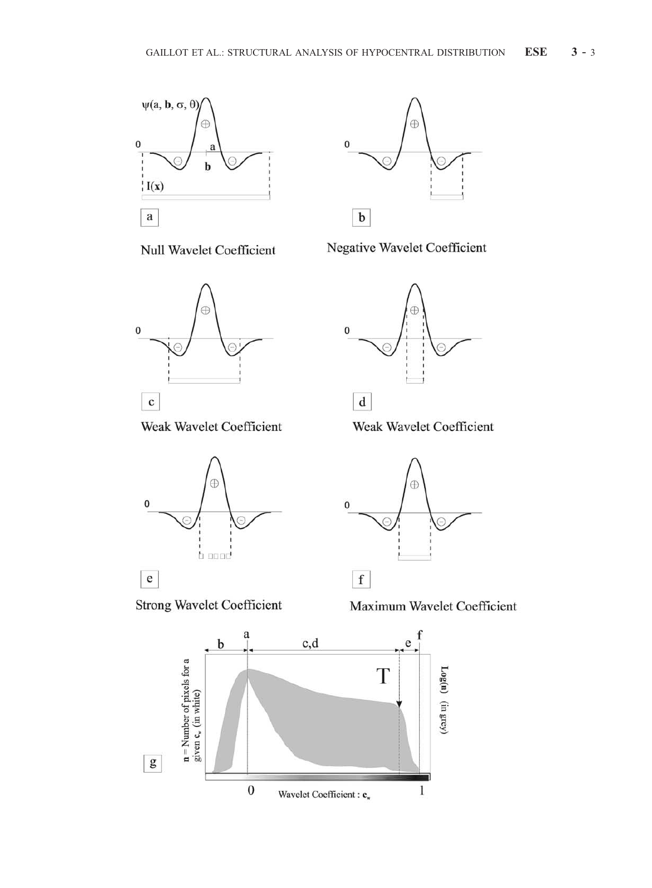

Null Wavelet Coefficient



Weak Wavelet Coefficient



**Strong Wavelet Coefficient** 



Negative Wavelet Coefficient



 ${\bf d}$ 

Weak Wavelet Coefficient



Maximum Wavelet Coefficient

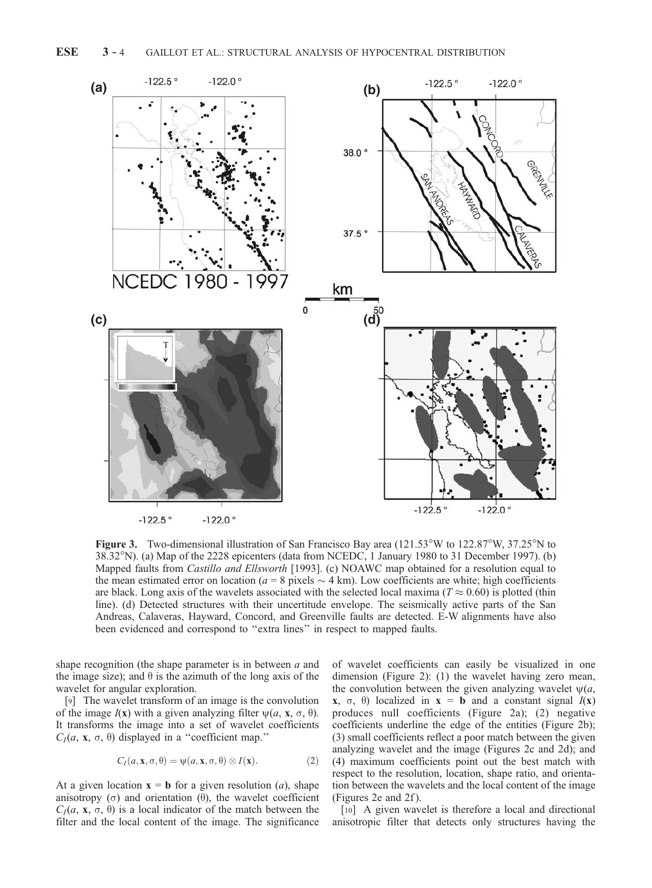

**Figure 3.** Two-dimensional illustration of San Francisco Bay area  $(121.53^{\circ}W$  to  $122.87^{\circ}W$ ,  $37.25^{\circ}N$  to 38.32°N). (a) Map of the 2228 epicenters (data from NCEDC, 1 January 1980 to 31 December 1997). (b) Mapped faults from *Castillo and Ellsworth* [1993]. (c) NOAWC map obtained for a resolution equal to the mean estimated error on location ( $a = 8$  pixels  $\sim$  4 km). Low coefficients are white; high coefficients are black. Long axis of the wavelets associated with the selected local maxima ( $T \approx 0.60$ ) is plotted (thin line). (d) Detected structures with their uncertitude envelope. The seismically active parts of the San Andreas, Calaveras, Hayward, Concord, and Greenville faults are detected. E-W alignments have also been evidenced and correspond to ''extra lines'' in respect to mapped faults.

shape recognition (the shape parameter is in between  $a$  and the image size); and  $\theta$  is the azimuth of the long axis of the wavelet for angular exploration.

[9] The wavelet transform of an image is the convolution of the image  $I(x)$  with a given analyzing filter  $\psi(a, x, \sigma, \theta)$ . It transforms the image into a set of wavelet coefficients  $C_I(a, x, \sigma, \theta)$  displayed in a "coefficient map."

$$
C_I(a, \mathbf{x}, \sigma, \theta) = \psi(a, \mathbf{x}, \sigma, \theta) \otimes I(\mathbf{x}). \tag{2}
$$

At a given location  $\mathbf{x} = \mathbf{b}$  for a given resolution (*a*), shape anisotropy  $(\sigma)$  and orientation  $(\theta)$ , the wavelet coefficient  $C_I(a, x, \sigma, \theta)$  is a local indicator of the match between the filter and the local content of the image. The significance of wavelet coefficients can easily be visualized in one dimension (Figure 2): (1) the wavelet having zero mean, the convolution between the given analyzing wavelet  $\psi(a, \theta)$  $x, \sigma, \theta$ ) localized in  $x = b$  and a constant signal  $I(x)$ produces null coefficients (Figure 2a); (2) negative coefficients underline the edge of the entities (Figure 2b); (3) small coefficients reflect a poor match between the given analyzing wavelet and the image (Figures 2c and 2d); and (4) maximum coefficients point out the best match with respect to the resolution, location, shape ratio, and orientation between the wavelets and the local content of the image (Figures 2e and 2f ).

[10] A given wavelet is therefore a local and directional anisotropic filter that detects only structures having the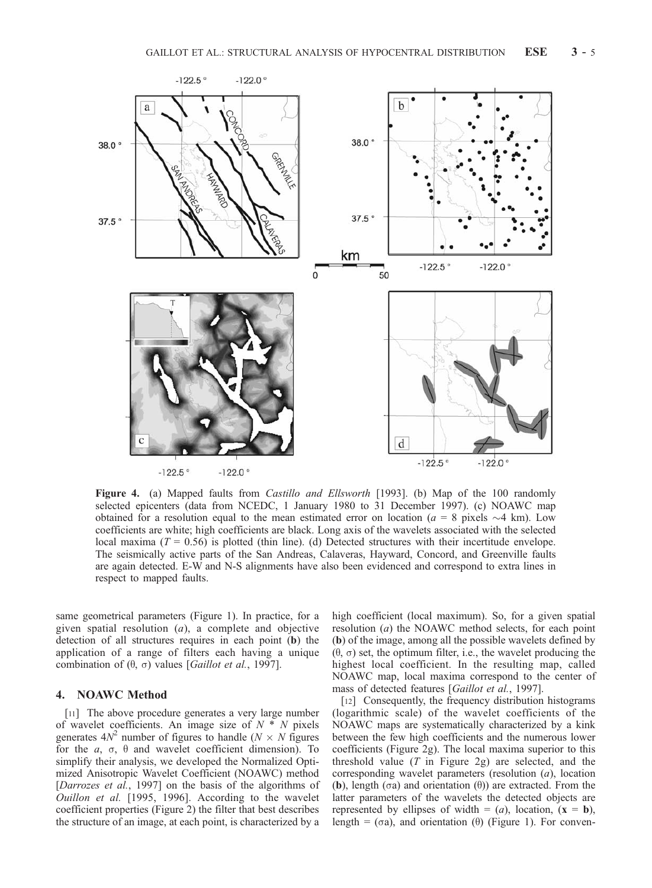

Figure 4. (a) Mapped faults from *Castillo and Ellsworth* [1993]. (b) Map of the 100 randomly selected epicenters (data from NCEDC, 1 January 1980 to 31 December 1997). (c) NOAWC map obtained for a resolution equal to the mean estimated error on location ( $a = 8$  pixels  $\sim$ 4 km). Low coefficients are white; high coefficients are black. Long axis of the wavelets associated with the selected local maxima  $(T = 0.56)$  is plotted (thin line). (d) Detected structures with their incertitude envelope. The seismically active parts of the San Andreas, Calaveras, Hayward, Concord, and Greenville faults are again detected. E-W and N-S alignments have also been evidenced and correspond to extra lines in respect to mapped faults.

same geometrical parameters (Figure 1). In practice, for a given spatial resolution  $(a)$ , a complete and objective detection of all structures requires in each point (b) the application of a range of filters each having a unique combination of  $(\theta, \sigma)$  values [*Gaillot et al.*, 1997].

## 4. NOAWC Method

[11] The above procedure generates a very large number of wavelet coefficients. An image size of  $N * N$  pixels generates  $4N^2$  number of figures to handle ( $N \times N$  figures for the  $a, \sigma, \theta$  and wavelet coefficient dimension). To simplify their analysis, we developed the Normalized Optimized Anisotropic Wavelet Coefficient (NOAWC) method [Darrozes et al., 1997] on the basis of the algorithms of Ouillon et al. [1995, 1996]. According to the wavelet coefficient properties (Figure 2) the filter that best describes the structure of an image, at each point, is characterized by a

high coefficient (local maximum). So, for a given spatial resolution (a) the NOAWC method selects, for each point (b) of the image, among all the possible wavelets defined by  $(\theta, \sigma)$  set, the optimum filter, i.e., the wavelet producing the highest local coefficient. In the resulting map, called NOAWC map, local maxima correspond to the center of mass of detected features [Gaillot et al., 1997].

[12] Consequently, the frequency distribution histograms (logarithmic scale) of the wavelet coefficients of the NOAWC maps are systematically characterized by a kink between the few high coefficients and the numerous lower coefficients (Figure 2g). The local maxima superior to this threshold value  $(T \text{ in Figure 2g})$  are selected, and the corresponding wavelet parameters (resolution (a), location (b), length ( $\sigma$ a) and orientation ( $\theta$ )) are extracted. From the latter parameters of the wavelets the detected objects are represented by ellipses of width =  $(a)$ , location,  $(x = b)$ , length =  $(\sigma a)$ , and orientation  $(\theta)$  (Figure 1). For conven-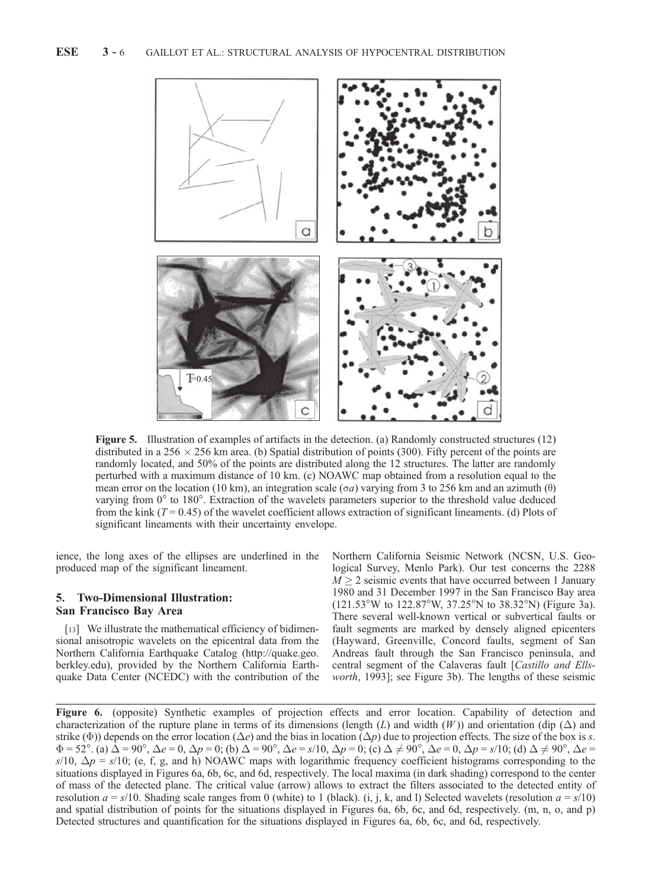

Figure 5. Illustration of examples of artifacts in the detection. (a) Randomly constructed structures (12) distributed in a 256  $\times$  256 km area. (b) Spatial distribution of points (300). Fifty percent of the points are randomly located, and 50% of the points are distributed along the 12 structures. The latter are randomly perturbed with a maximum distance of 10 km. (c) NOAWC map obtained from a resolution equal to the mean error on the location (10 km), an integration scale ( $\sigma a$ ) varying from 3 to 256 km and an azimuth ( $\theta$ ) varying from  $0^{\circ}$  to 180 $^{\circ}$ . Extraction of the wavelets parameters superior to the threshold value deduced from the kink ( $T = 0.45$ ) of the wavelet coefficient allows extraction of significant lineaments. (d) Plots of significant lineaments with their uncertainty envelope.

ience, the long axes of the ellipses are underlined in the produced map of the significant lineament.

## 5. Two-Dimensional Illustration: San Francisco Bay Area

[13] We illustrate the mathematical efficiency of bidimensional anisotropic wavelets on the epicentral data from the Northern California Earthquake Catalog (http://quake.geo. berkley.edu), provided by the Northern California Earthquake Data Center (NCEDC) with the contribution of the Northern California Seismic Network (NCSN, U.S. Geological Survey, Menlo Park). Our test concerns the 2288  $M \geq 2$  seismic events that have occurred between 1 January 1980 and 31 December 1997 in the San Francisco Bay area  $(121.53^{\circ}$ W to  $122.87^{\circ}$ W,  $37.25^{\circ}$ N to  $38.32^{\circ}$ N) (Figure 3a). There several well-known vertical or subvertical faults or fault segments are marked by densely aligned epicenters (Hayward, Greenville, Concord faults, segment of San Andreas fault through the San Francisco peninsula, and central segment of the Calaveras fault [Castillo and Ellsworth, 1993]; see Figure 3b). The lengths of these seismic

Figure 6. (opposite) Synthetic examples of projection effects and error location. Capability of detection and characterization of the rupture plane in terms of its dimensions (length (L) and width (W)) and orientation (dip  $(\Delta)$  and strike ( $\Phi$ )) depends on the error location ( $\Delta e$ ) and the bias in location ( $\Delta p$ ) due to projection effects. The size of the box is s.  $\Phi = 52^{\circ}$ . (a)  $\Delta = 90^{\circ}$ ,  $\Delta e = 0$ ,  $\Delta p = 0$ ; (b)  $\Delta = 90^{\circ}$ ,  $\Delta e = s/10$ ,  $\Delta p = 0$ ; (c)  $\Delta \neq 90^{\circ}$ ,  $\Delta e = 0$ ,  $\Delta p = s/10$ ; (d)  $\Delta \neq 90^{\circ}$ ,  $\Delta e = 0$  $s/10$ ,  $\Delta p = s/10$ ; (e, f, g, and h) NOAWC maps with logarithmic frequency coefficient histograms corresponding to the situations displayed in Figures 6a, 6b, 6c, and 6d, respectively. The local maxima (in dark shading) correspond to the center of mass of the detected plane. The critical value (arrow) allows to extract the filters associated to the detected entity of resolution  $a = s/10$ . Shading scale ranges from 0 (white) to 1 (black). (i, j, k, and l) Selected wavelets (resolution  $a = s/10$ ) and spatial distribution of points for the situations displayed in Figures 6a, 6b, 6c, and 6d, respectively. (m, n, o, and p) Detected structures and quantification for the situations displayed in Figures 6a, 6b, 6c, and 6d, respectively.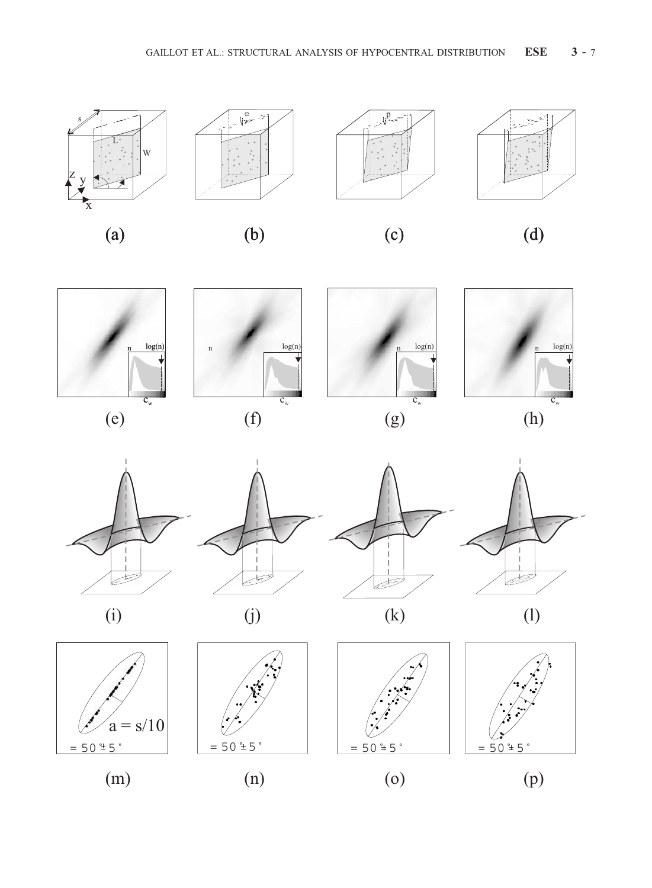







(a) (b) (c) (d)



























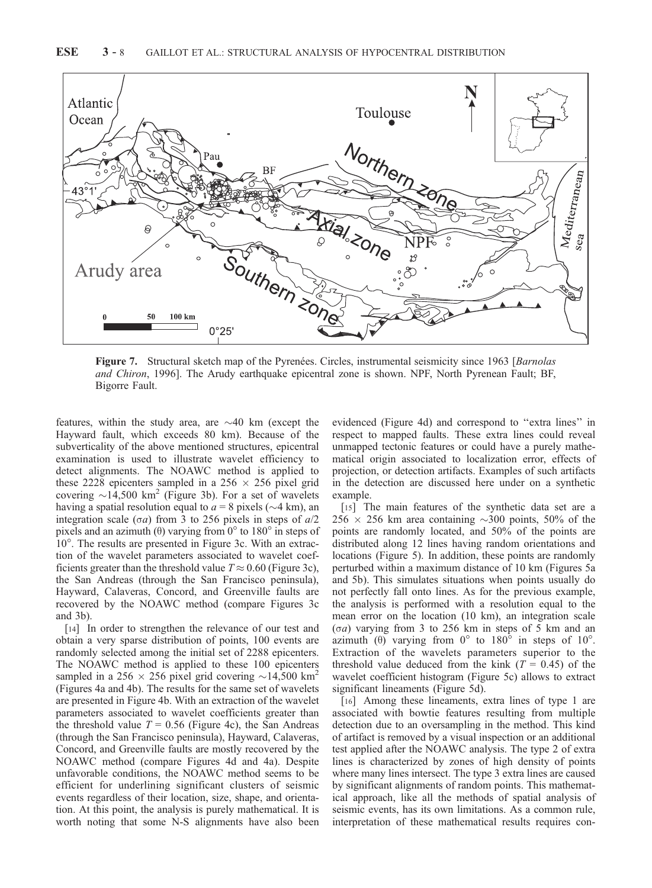

Figure 7. Structural sketch map of the Pyrenées. Circles, instrumental seismicity since 1963 [Barnolas] and Chiron, 1996]. The Arudy earthquake epicentral zone is shown. NPF, North Pyrenean Fault; BF, Bigorre Fault.

features, within the study area, are  $\sim$ 40 km (except the Hayward fault, which exceeds 80 km). Because of the subverticality of the above mentioned structures, epicentral examination is used to illustrate wavelet efficiency to detect alignments. The NOAWC method is applied to these 2228 epicenters sampled in a 256  $\times$  256 pixel grid covering  $\sim$ 14,500 km<sup>2</sup> (Figure 3b). For a set of wavelets having a spatial resolution equal to  $a = 8$  pixels ( $\sim$ 4 km), an integration scale ( $\sigma a$ ) from 3 to 256 pixels in steps of  $a/2$ pixels and an azimuth ( $\theta$ ) varying from 0 $\degree$  to 180 $\degree$  in steps of 10°. The results are presented in Figure 3c. With an extraction of the wavelet parameters associated to wavelet coefficients greater than the threshold value  $T \approx 0.60$  (Figure 3c), the San Andreas (through the San Francisco peninsula), Hayward, Calaveras, Concord, and Greenville faults are recovered by the NOAWC method (compare Figures 3c and 3b).

[14] In order to strengthen the relevance of our test and obtain a very sparse distribution of points, 100 events are randomly selected among the initial set of 2288 epicenters. The NOAWC method is applied to these 100 epicenters sampled in a 256  $\times$  256 pixel grid covering  $\sim$ 14,500 km<sup>2</sup> (Figures 4a and 4b). The results for the same set of wavelets are presented in Figure 4b. With an extraction of the wavelet parameters associated to wavelet coefficients greater than the threshold value  $T = 0.56$  (Figure 4c), the San Andreas (through the San Francisco peninsula), Hayward, Calaveras, Concord, and Greenville faults are mostly recovered by the NOAWC method (compare Figures 4d and 4a). Despite unfavorable conditions, the NOAWC method seems to be efficient for underlining significant clusters of seismic events regardless of their location, size, shape, and orientation. At this point, the analysis is purely mathematical. It is worth noting that some N-S alignments have also been

evidenced (Figure 4d) and correspond to ''extra lines'' in respect to mapped faults. These extra lines could reveal unmapped tectonic features or could have a purely mathematical origin associated to localization error, effects of projection, or detection artifacts. Examples of such artifacts in the detection are discussed here under on a synthetic example.

[15] The main features of the synthetic data set are a 256  $\times$  256 km area containing  $\sim$ 300 points, 50% of the points are randomly located, and 50% of the points are distributed along 12 lines having random orientations and locations (Figure 5). In addition, these points are randomly perturbed within a maximum distance of 10 km (Figures 5a and 5b). This simulates situations when points usually do not perfectly fall onto lines. As for the previous example, the analysis is performed with a resolution equal to the mean error on the location (10 km), an integration scale  $(\sigma a)$  varying from 3 to 256 km in steps of 5 km and an azimuth ( $\theta$ ) varying from 0° to 180° in steps of 10°. Extraction of the wavelets parameters superior to the threshold value deduced from the kink ( $T = 0.45$ ) of the wavelet coefficient histogram (Figure 5c) allows to extract significant lineaments (Figure 5d).

[16] Among these lineaments, extra lines of type 1 are associated with bowtie features resulting from multiple detection due to an oversampling in the method. This kind of artifact is removed by a visual inspection or an additional test applied after the NOAWC analysis. The type 2 of extra lines is characterized by zones of high density of points where many lines intersect. The type 3 extra lines are caused by significant alignments of random points. This mathematical approach, like all the methods of spatial analysis of seismic events, has its own limitations. As a common rule, interpretation of these mathematical results requires con-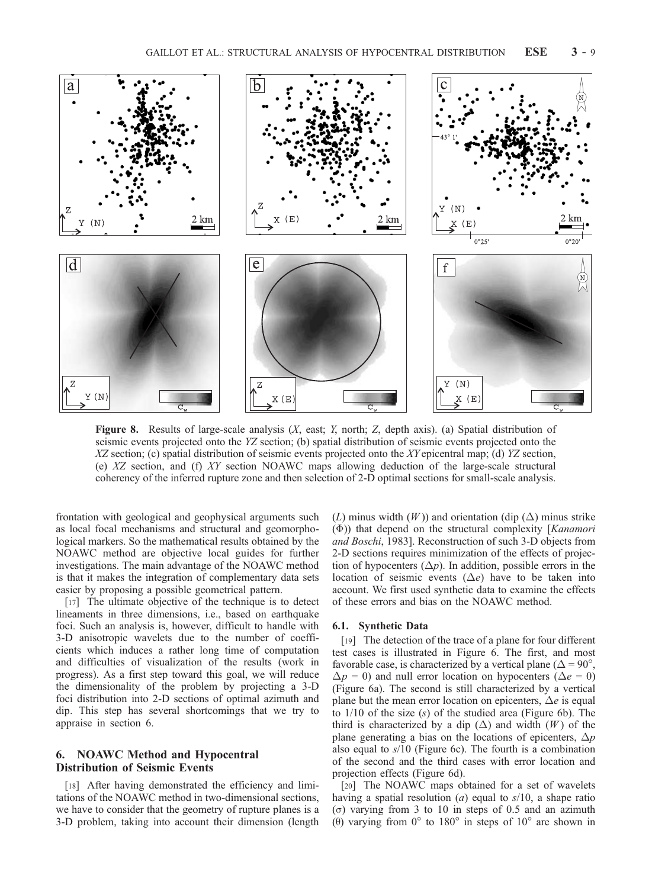

Figure 8. Results of large-scale analysis  $(X, \text{ east}; Y, \text{ north}; Z, \text{ depth axis})$ . (a) Spatial distribution of seismic events projected onto the YZ section; (b) spatial distribution of seismic events projected onto the XZ section; (c) spatial distribution of seismic events projected onto the XY epicentral map; (d) YZ section, (e) XZ section, and (f) XY section NOAWC maps allowing deduction of the large-scale structural coherency of the inferred rupture zone and then selection of 2-D optimal sections for small-scale analysis.

frontation with geological and geophysical arguments such as local focal mechanisms and structural and geomorphological markers. So the mathematical results obtained by the NOAWC method are objective local guides for further investigations. The main advantage of the NOAWC method is that it makes the integration of complementary data sets easier by proposing a possible geometrical pattern.

[17] The ultimate objective of the technique is to detect lineaments in three dimensions, i.e., based on earthquake foci. Such an analysis is, however, difficult to handle with 3-D anisotropic wavelets due to the number of coefficients which induces a rather long time of computation and difficulties of visualization of the results (work in progress). As a first step toward this goal, we will reduce the dimensionality of the problem by projecting a 3-D foci distribution into 2-D sections of optimal azimuth and dip. This step has several shortcomings that we try to appraise in section 6.

## 6. NOAWC Method and Hypocentral Distribution of Seismic Events

[18] After having demonstrated the efficiency and limitations of the NOAWC method in two-dimensional sections, we have to consider that the geometry of rupture planes is a 3-D problem, taking into account their dimension (length

(*L*) minus width  $(W)$ ) and orientation (dip  $(\Delta)$  minus strike  $(\Phi)$ ) that depend on the structural complexity [Kanamori and Boschi, 1983]. Reconstruction of such 3-D objects from 2-D sections requires minimization of the effects of projection of hypocenters  $(\Delta p)$ . In addition, possible errors in the location of seismic events  $(\Delta e)$  have to be taken into account. We first used synthetic data to examine the effects of these errors and bias on the NOAWC method.

#### 6.1. Synthetic Data

[19] The detection of the trace of a plane for four different test cases is illustrated in Figure 6. The first, and most favorable case, is characterized by a vertical plane ( $\Delta = 90^{\circ}$ ,  $\Delta p = 0$ ) and null error location on hypocenters ( $\Delta e = 0$ ) (Figure 6a). The second is still characterized by a vertical plane but the mean error location on epicenters,  $\Delta e$  is equal to  $1/10$  of the size  $(s)$  of the studied area (Figure 6b). The third is characterized by a dip  $(\Delta)$  and width  $(W)$  of the plane generating a bias on the locations of epicenters,  $\Delta p$ also equal to s/10 (Figure 6c). The fourth is a combination of the second and the third cases with error location and projection effects (Figure 6d).

[20] The NOAWC maps obtained for a set of wavelets having a spatial resolution (*a*) equal to  $s/10$ , a shape ratio  $(\sigma)$  varying from 3 to 10 in steps of 0.5 and an azimuth ( $\theta$ ) varying from 0° to 180° in steps of 10° are shown in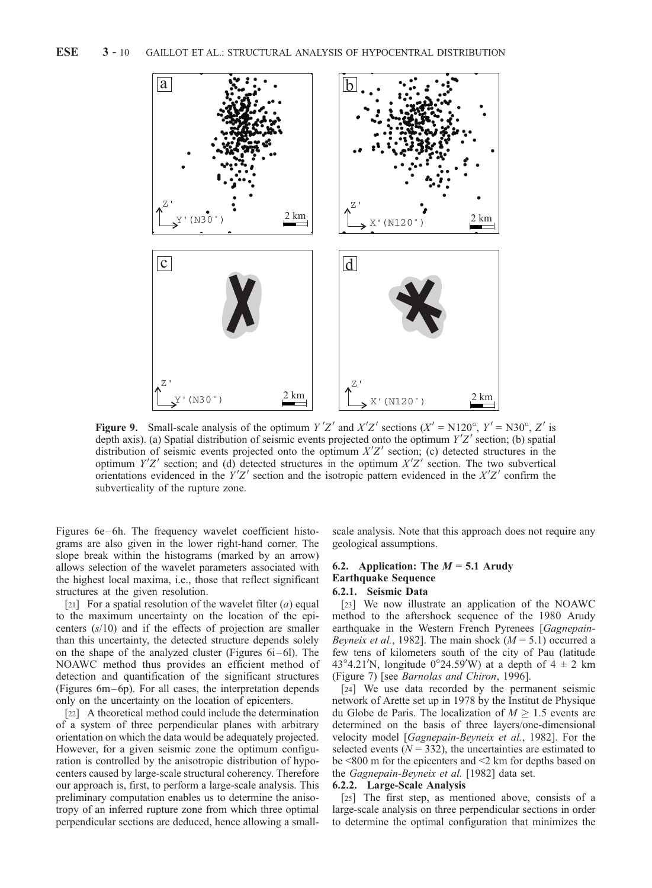

Figure 9. Small-scale analysis of the optimum  $Y'Z'$  and  $X'Z'$  sections  $(X' = N120^{\circ}, Y' = N30^{\circ}, Z'$  is depth axis). (a) Spatial distribution of seismic events projected onto the optimum  $Y'Z'$  section; (b) spatial distribution of seismic events projected onto the optimum  $X'Z'$  section; (c) detected structures in the optimum  $Y'Z'$  section; and (d) detected structures in the optimum  $X'Z'$  section. The two subvertical orientations evidenced in the  $\hat{Y}'Z'$  section and the isotropic pattern evidenced in the  $X'Z'$  confirm the subverticality of the rupture zone.

Figures 6e–6h. The frequency wavelet coefficient histograms are also given in the lower right-hand corner. The slope break within the histograms (marked by an arrow) allows selection of the wavelet parameters associated with the highest local maxima, i.e., those that reflect significant structures at the given resolution.

[21] For a spatial resolution of the wavelet filter  $(a)$  equal to the maximum uncertainty on the location of the epicenters (s/10) and if the effects of projection are smaller than this uncertainty, the detected structure depends solely on the shape of the analyzed cluster (Figures  $6i-6l$ ). The NOAWC method thus provides an efficient method of detection and quantification of the significant structures (Figures 6m –6p). For all cases, the interpretation depends only on the uncertainty on the location of epicenters.

[22] A theoretical method could include the determination of a system of three perpendicular planes with arbitrary orientation on which the data would be adequately projected. However, for a given seismic zone the optimum configuration is controlled by the anisotropic distribution of hypocenters caused by large-scale structural coherency. Therefore our approach is, first, to perform a large-scale analysis. This preliminary computation enables us to determine the anisotropy of an inferred rupture zone from which three optimal perpendicular sections are deduced, hence allowing a smallscale analysis. Note that this approach does not require any geological assumptions.

## 6.2. Application: The  $M = 5.1$  Arudy Earthquake Sequence

#### 6.2.1. Seismic Data

[23] We now illustrate an application of the NOAWC method to the aftershock sequence of the 1980 Arudy earthquake in the Western French Pyrenees [Gagnepain-Beyneix et al., 1982]. The main shock  $(M = 5.1)$  occurred a few tens of kilometers south of the city of Pau (latitude 43°4.21′N, longitude 0°24.59′W) at a depth of  $4 \pm 2$  km (Figure 7) [see Barnolas and Chiron, 1996].

[24] We use data recorded by the permanent seismic network of Arette set up in 1978 by the Institut de Physique du Globe de Paris. The localization of  $M \geq 1.5$  events are determined on the basis of three layers/one-dimensional velocity model [Gagnepain-Beyneix et al., 1982]. For the selected events ( $N = 332$ ), the uncertainties are estimated to be <800 m for the epicenters and <2 km for depths based on the Gagnepain-Beyneix et al. [1982] data set.

#### 6.2.2. Large-Scale Analysis

[25] The first step, as mentioned above, consists of a large-scale analysis on three perpendicular sections in order to determine the optimal configuration that minimizes the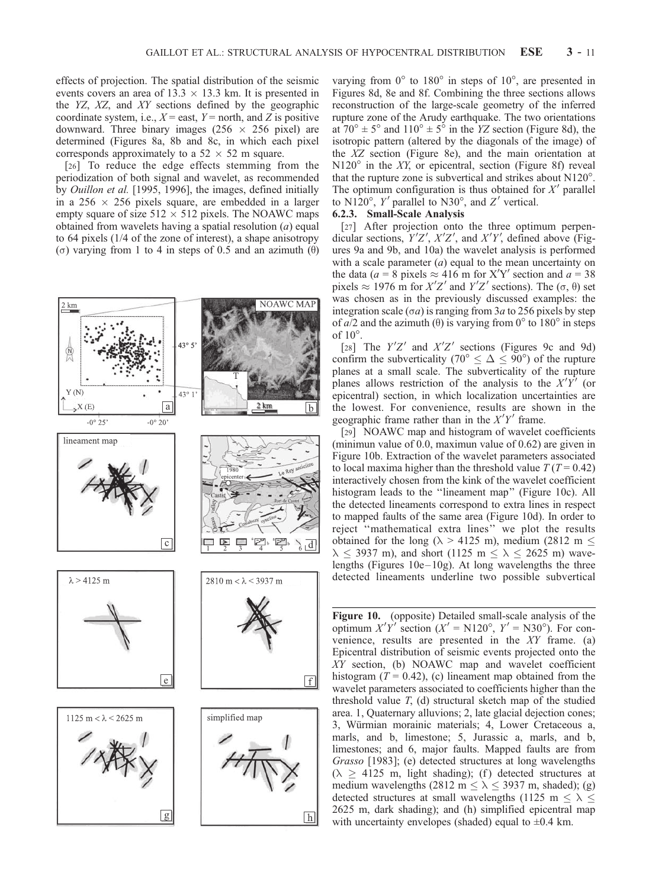effects of projection. The spatial distribution of the seismic events covers an area of  $13.3 \times 13.3$  km. It is presented in the YZ, XZ, and XY sections defined by the geographic coordinate system, i.e.,  $X =$  east,  $Y =$  north, and Z is positive downward. Three binary images (256  $\times$  256 pixel) are determined (Figures 8a, 8b and 8c, in which each pixel corresponds approximately to a  $52 \times 52$  m square.

[26] To reduce the edge effects stemming from the periodization of both signal and wavelet, as recommended by Ouillon et al. [1995, 1996], the images, defined initially in a 256  $\times$  256 pixels square, are embedded in a larger empty square of size  $512 \times 512$  pixels. The NOAWC maps obtained from wavelets having a spatial resolution  $(a)$  equal to 64 pixels (1/4 of the zone of interest), a shape anisotropy ( $\sigma$ ) varying from 1 to 4 in steps of 0.5 and an azimuth ( $\theta$ )



varying from  $0^{\circ}$  to  $180^{\circ}$  in steps of  $10^{\circ}$ , are presented in Figures 8d, 8e and 8f. Combining the three sections allows reconstruction of the large-scale geometry of the inferred rupture zone of the Arudy earthquake. The two orientations at  $70^{\circ} \pm 5^{\circ}$  and  $110^{\circ} \pm 5^{\circ}$  in the YZ section (Figure 8d), the isotropic pattern (altered by the diagonals of the image) of the XZ section (Figure 8e), and the main orientation at  $N120^{\circ}$  in the XY, or epicentral, section (Figure 8f) reveal that the rupture zone is subvertical and strikes about  $N120^\circ$ . The optimum configuration is thus obtained for  $X'$  parallel to N120°, Y' parallel to N30°, and Z' vertical.

## 6.2.3. Small-Scale Analysis

[27] After projection onto the three optimum perpendicular sections,  $Y'Z'$ ,  $X'Z'$ , and  $X'Y'$ , defined above (Figures 9a and 9b, and 10a) the wavelet analysis is performed with a scale parameter  $(a)$  equal to the mean uncertainty on the data ( $a = 8$  pixels  $\approx 416$  m for X'Y' section and  $a = 38$ pixels  $\approx 1976$  m for  $X'Z'$  and  $Y'Z'$  sections). The  $(\sigma, \theta)$  set was chosen as in the previously discussed examples: the integration scale ( $\sigma a$ ) is ranging from 3a to 256 pixels by step of  $a/2$  and the azimuth ( $\theta$ ) is varying from 0° to 180° in steps of  $10^\circ$ .

[28] The  $Y'Z'$  and  $X'Z'$  sections (Figures 9c and 9d) confirm the subverticality (70<sup>o</sup>  $\leq \Delta \leq 90^{\circ}$ ) of the rupture planes at a small scale. The subverticality of the rupture planes allows restriction of the analysis to the  $X'Y'$  (or epicentral) section, in which localization uncertainties are the lowest. For convenience, results are shown in the geographic frame rather than in the  $X'Y'$  frame.

[29] NOAWC map and histogram of wavelet coefficients (minimun value of 0.0, maximun value of 0.62) are given in Figure 10b. Extraction of the wavelet parameters associated to local maxima higher than the threshold value  $T(T=0.42)$ interactively chosen from the kink of the wavelet coefficient histogram leads to the ''lineament map'' (Figure 10c). All the detected lineaments correspond to extra lines in respect to mapped faults of the same area (Figure 10d). In order to reject ''mathematical extra lines'' we plot the results obtained for the long ( $\lambda$  > 4125 m), medium (2812 m  $\leq$  $\lambda \leq 3937$  m), and short (1125 m  $\leq \lambda \leq 2625$  m) wavelengths (Figures  $10e-10g$ ). At long wavelengths the three detected lineaments underline two possible subvertical

Figure 10. (opposite) Detailed small-scale analysis of the optimum  $X'Y'$  section  $(X' = N120^\circ, Y' = N30^\circ)$ . For convenience, results are presented in the XY frame. (a) Epicentral distribution of seismic events projected onto the XY section, (b) NOAWC map and wavelet coefficient histogram  $(T = 0.42)$ , (c) lineament map obtained from the wavelet parameters associated to coefficients higher than the threshold value  $T$ , (d) structural sketch map of the studied area. 1, Quaternary alluvions; 2, late glacial dejection cones; 3, Würmian morainic materials; 4, Lower Cretaceous a, marls, and b, limestone; 5, Jurassic a, marls, and b, limestones; and 6, major faults. Mapped faults are from Grasso [1983]; (e) detected structures at long wavelengths  $(\lambda \geq 4125 \text{ m}, \text{ light shading})$ ; (f) detected structures at medium wavelengths (2812 m  $\leq \lambda \leq 3937$  m, shaded); (g) detected structures at small wavelengths (1125 m  $\leq \lambda \leq$ 2625 m, dark shading); and (h) simplified epicentral map with uncertainty envelopes (shaded) equal to  $\pm 0.4$  km.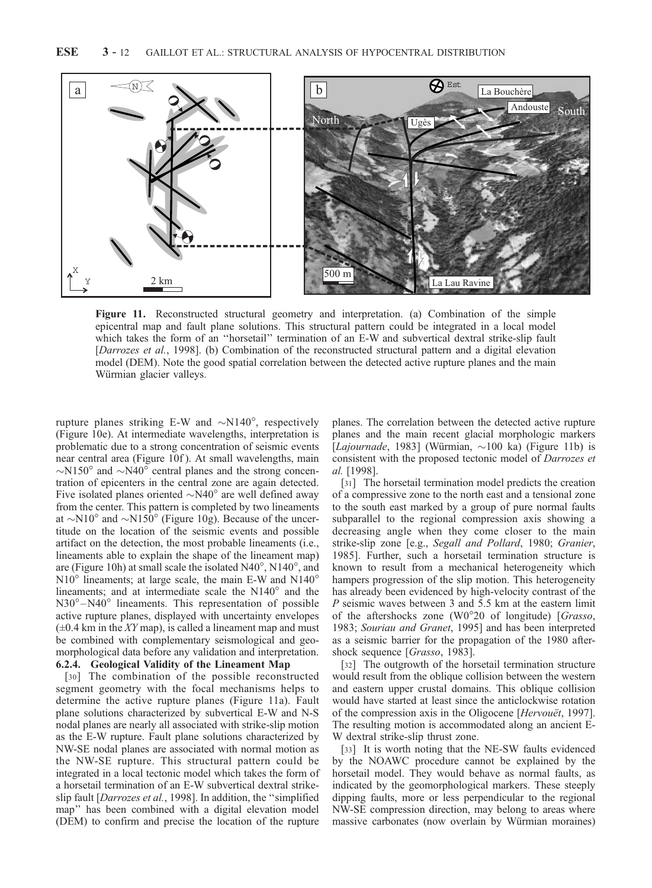

Figure 11. Reconstructed structural geometry and interpretation. (a) Combination of the simple epicentral map and fault plane solutions. This structural pattern could be integrated in a local model which takes the form of an ''horsetail'' termination of an E-W and subvertical dextral strike-slip fault [Darrozes et al., 1998]. (b) Combination of the reconstructed structural pattern and a digital elevation model (DEM). Note the good spatial correlation between the detected active rupture planes and the main Würmian glacier valleys.

rupture planes striking E-W and  $\sim N140^\circ$ , respectively (Figure 10e). At intermediate wavelengths, interpretation is problematic due to a strong concentration of seismic events near central area (Figure 10f ). At small wavelengths, main  $\sim$ N150 $\degree$  and  $\sim$ N40 $\degree$  central planes and the strong concentration of epicenters in the central zone are again detected. Five isolated planes oriented  $\sim$ N40 $^{\circ}$  are well defined away from the center. This pattern is completed by two lineaments at  $\sim$ N10<sup>°</sup> and  $\sim$ N150<sup>°</sup> (Figure 10g). Because of the uncertitude on the location of the seismic events and possible artifact on the detection, the most probable lineaments (i.e., lineaments able to explain the shape of the lineament map) are (Figure 10h) at small scale the isolated  $N40^\circ$ ,  $N140^\circ$ , and  $N10^{\circ}$  lineaments; at large scale, the main E-W and  $N140^{\circ}$ lineaments; and at intermediate scale the  $N140^\circ$  and the  $N30^{\circ}$ –N40 $^{\circ}$  lineaments. This representation of possible active rupture planes, displayed with uncertainty envelopes  $(\pm 0.4 \text{ km in the } XY \text{ map})$ , is called a lineament map and must be combined with complementary seismological and geomorphological data before any validation and interpretation. 6.2.4. Geological Validity of the Lineament Map

[30] The combination of the possible reconstructed segment geometry with the focal mechanisms helps to determine the active rupture planes (Figure 11a). Fault plane solutions characterized by subvertical E-W and N-S nodal planes are nearly all associated with strike-slip motion as the E-W rupture. Fault plane solutions characterized by NW-SE nodal planes are associated with normal motion as the NW-SE rupture. This structural pattern could be integrated in a local tectonic model which takes the form of a horsetail termination of an E-W subvertical dextral strikeslip fault [Darrozes et al., 1998]. In addition, the ''simplified map'' has been combined with a digital elevation model (DEM) to confirm and precise the location of the rupture

planes. The correlation between the detected active rupture planes and the main recent glacial morphologic markers [Lajournade, 1983] (Würmian,  $\sim$ 100 ka) (Figure 11b) is consistent with the proposed tectonic model of Darrozes et al. [1998].

[31] The horsetail termination model predicts the creation of a compressive zone to the north east and a tensional zone to the south east marked by a group of pure normal faults subparallel to the regional compression axis showing a decreasing angle when they come closer to the main strike-slip zone [e.g., Segall and Pollard, 1980; Granier, 1985]. Further, such a horsetail termination structure is known to result from a mechanical heterogeneity which hampers progression of the slip motion. This heterogeneity has already been evidenced by high-velocity contrast of the P seismic waves between 3 and 5.5 km at the eastern limit of the aftershocks zone (W0 $^{\circ}$ 20 of longitude) [Grasso, 1983; Souriau and Granet, 1995] and has been interpreted as a seismic barrier for the propagation of the 1980 aftershock sequence [Grasso, 1983].

[32] The outgrowth of the horsetail termination structure would result from the oblique collision between the western and eastern upper crustal domains. This oblique collision would have started at least since the anticlockwise rotation of the compression axis in the Oligocene [*Hervouët*, 1997]. The resulting motion is accommodated along an ancient E-W dextral strike-slip thrust zone.

[33] It is worth noting that the NE-SW faults evidenced by the NOAWC procedure cannot be explained by the horsetail model. They would behave as normal faults, as indicated by the geomorphological markers. These steeply dipping faults, more or less perpendicular to the regional NW-SE compression direction, may belong to areas where massive carbonates (now overlain by Würmian moraines)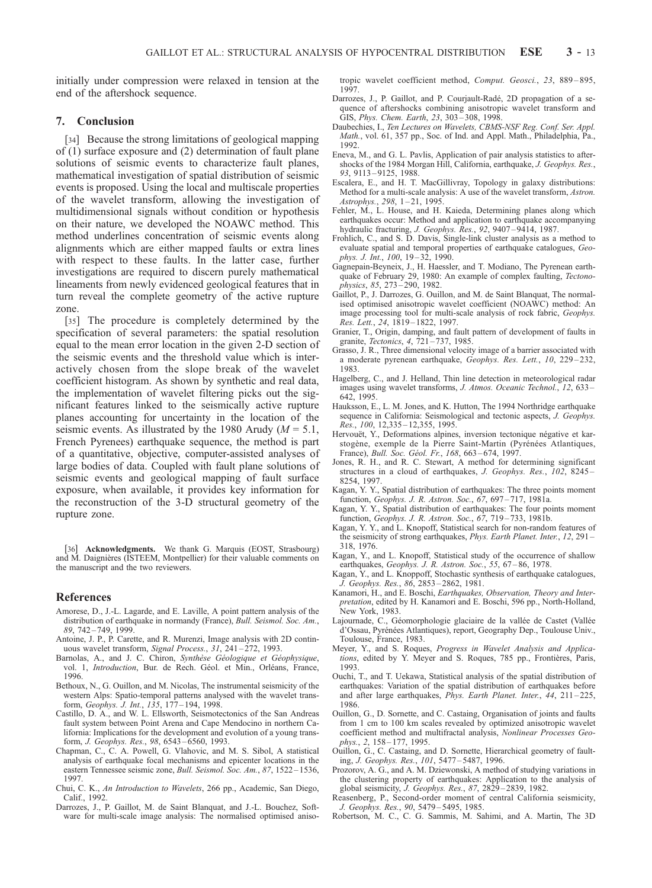initially under compression were relaxed in tension at the end of the aftershock sequence.

## 7. Conclusion

[34] Because the strong limitations of geological mapping of (1) surface exposure and (2) determination of fault plane solutions of seismic events to characterize fault planes, mathematical investigation of spatial distribution of seismic events is proposed. Using the local and multiscale properties of the wavelet transform, allowing the investigation of multidimensional signals without condition or hypothesis on their nature, we developed the NOAWC method. This method underlines concentration of seismic events along alignments which are either mapped faults or extra lines with respect to these faults. In the latter case, further investigations are required to discern purely mathematical lineaments from newly evidenced geological features that in turn reveal the complete geometry of the active rupture zone.

[35] The procedure is completely determined by the specification of several parameters: the spatial resolution equal to the mean error location in the given 2-D section of the seismic events and the threshold value which is interactively chosen from the slope break of the wavelet coefficient histogram. As shown by synthetic and real data, the implementation of wavelet filtering picks out the significant features linked to the seismically active rupture planes accounting for uncertainty in the location of the seismic events. As illustrated by the 1980 Arudy ( $M = 5.1$ , French Pyrenees) earthquake sequence, the method is part of a quantitative, objective, computer-assisted analyses of large bodies of data. Coupled with fault plane solutions of seismic events and geological mapping of fault surface exposure, when available, it provides key information for the reconstruction of the 3-D structural geometry of the rupture zone.

[36] Acknowledgments. We thank G. Marquis (EOST, Strasbourg) and M. Daignières (ISTEEM, Montpellier) for their valuable comments on the manuscript and the two reviewers.

#### References

- Amorese, D., J.-L. Lagarde, and E. Laville, A point pattern analysis of the distribution of earthquake in normandy (France), Bull. Seismol. Soc. Am., 89, 742 – 749, 1999.
- Antoine, J. P., P. Carette, and R. Murenzi, Image analysis with 2D continuous wavelet transform, Signal Process., 31, 241–272, 1993.
- Barnolas, A., and J. C. Chiron, Synthèse Géologique et Géophysique, vol. 1, Introduction, Bur. de Rech. Géol. et Min., Orléans, France, 1996.
- Bethoux, N., G. Ouillon, and M. Nicolas, The instrumental seismicity of the western Alps: Spatio-temporal patterns analysed with the wavelet transform, Geophys. J. Int., 135, 177 – 194, 1998.
- Castillo, D. A., and W. L. Ellsworth, Seismotectonics of the San Andreas fault system between Point Arena and Cape Mendocino in northern California: Implications for the development and evolution of a young transform, J. Geophys. Res., 98, 6543 – 6560, 1993.
- Chapman, C., C. A. Powell, G. Vlahovic, and M. S. Sibol, A statistical analysis of earthquake focal mechanisms and epicenter locations in the eastern Tennessee seismic zone, Bull. Seismol. Soc. Am., 87, 1522 – 1536, 1997.
- Chui, C. K., An Introduction to Wavelets, 266 pp., Academic, San Diego, Calif., 1992.
- Darrozes, J., P. Gaillot, M. de Saint Blanquat, and J.-L. Bouchez, Software for multi-scale image analysis: The normalised optimised aniso-

tropic wavelet coefficient method, Comput. Geosci., 23, 889 – 895, 1997.

- Darrozes, J., P. Gaillot, and P. Courjault-Radé, 2D propagation of a sequence of aftershocks combining anisotropic wavelet transform and GIS, Phys. Chem. Earth, 23, 303 – 308, 1998.
- Daubechies, I., Ten Lectures on Wavelets, CBMS-NSF Reg. Conf. Ser. Appl. Math., vol. 61, 357 pp., Soc. of Ind. and Appl. Math., Philadelphia, Pa., 1992.
- Eneva, M., and G. L. Pavlis, Application of pair analysis statistics to aftershocks of the 1984 Morgan Hill, California, earthquake, J. Geophys. Res., 93, 9113 – 9125, 1988.
- Escalera, E., and H. T. MacGillivray, Topology in galaxy distributions: Method for a multi-scale analysis: A use of the wavelet transform, Astron. Astrophys., 298, 1-21, 1995.
- Fehler, M., L. House, and H. Kaieda, Determining planes along which earthquakes occur: Method and application to earthquake accompanying hydraulic fracturing, J. Geophys. Res., 92, 9407 – 9414, 1987.
- Frohlich, C., and S. D. Davis, Single-link cluster analysis as a method to evaluate spatial and temporal properties of earthquake catalogues, Geophys. J. Int., 100, 19-32, 1990.
- Gagnepain-Beyneix, J., H. Haessler, and T. Modiano, The Pyrenean earthquake of February 29, 1980: An example of complex faulting, Tectonophysics, 85, 273 – 290, 1982.
- Gaillot, P., J. Darrozes, G. Ouillon, and M. de Saint Blanquat, The normalised optimised anisotropic wavelet coefficient (NOAWC) method: An image processing tool for multi-scale analysis of rock fabric, Geophys. Res. Lett., 24, 1819 – 1822, 1997.
- Granier, T., Origin, damping, and fault pattern of development of faults in granite, Tectonics, 4, 721-737, 1985.
- Grasso, J. R., Three dimensional velocity image of a barrier associated with a moderate pyrenean earthquake, Geophys. Res. Lett., 10, 229 – 232, 1983.
- Hagelberg, C., and J. Helland, Thin line detection in meteorological radar images using wavelet transforms, J. Atmos. Oceanic Technol., 12, 633 – 642, 1995.
- Hauksson, E., L. M. Jones, and K. Hutton, The 1994 Northridge earthquake sequence in California: Seismological and tectonic aspects, J. Geophys. Res., 100, 12,335 – 12,355, 1995.
- Hervouët, Y., Deformations alpines, inversion tectonique négative et karstogène, exemple de la Pierre Saint-Martin (Pyrénées Atlantiques, France), Bull. Soc. Géol. Fr., 168, 663-674, 1997.
- Jones, R. H., and R. C. Stewart, A method for determining significant structures in a cloud of earthquakes, J. Geophys. Res., 102, 8245 – 8254, 1997.
- Kagan, Y. Y., Spatial distribution of earthquakes: The three points moment function, Geophys. J. R. Astron. Soc., 67, 697 – 717, 1981a.
- Kagan, Y. Y., Spatial distribution of earthquakes: The four points moment function, Geophys. J. R. Astron. Soc., 67, 719 – 733, 1981b.
- Kagan, Y. Y., and L. Knopoff, Statistical search for non-random features of the seismicity of strong earthquakes, Phys. Earth Planet. Inter., 12, 291-318, 1976.
- Kagan, Y., and L. Knopoff, Statistical study of the occurrence of shallow earthquakes, Geophys. J. R. Astron. Soc., 55, 67-86, 1978.
- Kagan, Y., and L. Knoppoff, Stochastic synthesis of earthquake catalogues, J. Geophys. Res., 86, 2853 – 2862, 1981.
- Kanamori, H., and E. Boschi, Earthquakes, Observation, Theory and Interpretation, edited by H. Kanamori and E. Boschi, 596 pp., North-Holland, New York, 1983.
- Lajournade, C., Géomorphologie glaciaire de la vallée de Castet (Vallée d'Ossau, Pyrénées Atlantiques), report, Geography Dep., Toulouse Univ., Toulouse, France, 1983.
- Meyer, Y., and S. Roques, Progress in Wavelet Analysis and Applications, edited by Y. Meyer and S. Roques, 785 pp., Frontières, Paris, 1993.
- Ouchi, T., and T. Uekawa, Statistical analysis of the spatial distribution of earthquakes: Variation of the spatial distribution of earthquakes before and after large earthquakes,  $\overrightarrow{Phys.}$  Earth Planet. Inter., 44, 211-225, 1986.
- Ouillon, G., D. Sornette, and C. Castaing, Organisation of joints and faults from 1 cm to 100 km scales revealed by optimized anisotropic wavelet coefficient method and multifractal analysis, Nonlinear Processes Geophys., 2, 158 – 177, 1995.
- Ouillon, G., C. Castaing, and D. Sornette, Hierarchical geometry of faulting, J. Geophys. Res., 101, 5477 – 5487, 1996.
- Prozorov, A. G., and A. M. Dziewonski, A method of studying variations in the clustering property of earthquakes: Application to the analysis of global seismicity, J. Geophys. Res., 87, 2829-2839, 1982.
- Reasenberg, P., Second-order moment of central California seismicity, J. Geophys. Res., 90, 5479 – 5495, 1985.
- Robertson, M. C., C. G. Sammis, M. Sahimi, and A. Martin, The 3D